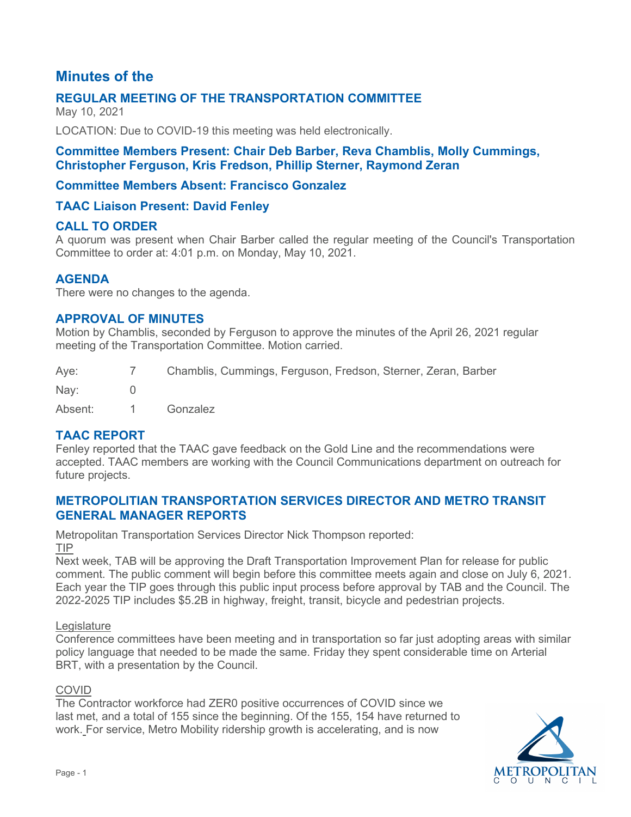# **Minutes of the**

# **REGULAR MEETING OF THE TRANSPORTATION COMMITTEE**

May 10, 2021

LOCATION: Due to COVID-19 this meeting was held electronically.

### **Committee Members Present: Chair Deb Barber, Reva Chamblis, Molly Cummings, Christopher Ferguson, Kris Fredson, Phillip Sterner, Raymond Zeran**

### **Committee Members Absent: Francisco Gonzalez**

### **TAAC Liaison Present: David Fenley**

### **CALL TO ORDER**

A quorum was present when Chair Barber called the regular meeting of the Council's Transportation Committee to order at: 4:01 p.m. on Monday, May 10, 2021.

### **AGENDA**

There were no changes to the agenda.

### **APPROVAL OF MINUTES**

Motion by Chamblis, seconded by Ferguson to approve the minutes of the April 26, 2021 regular meeting of the Transportation Committee. Motion carried.

| Aye:    | 7 Chamblis, Cummings, Ferguson, Fredson, Sterner, Zeran, Barber |
|---------|-----------------------------------------------------------------|
| Nav:    |                                                                 |
| Absent: | Gonzalez                                                        |

## **TAAC REPORT**

Fenley reported that the TAAC gave feedback on the Gold Line and the recommendations were accepted. TAAC members are working with the Council Communications department on outreach for future projects.

### **METROPOLITIAN TRANSPORTATION SERVICES DIRECTOR AND METRO TRANSIT GENERAL MANAGER REPORTS**

Metropolitan Transportation Services Director Nick Thompson reported:

TIP

Next week, TAB will be approving the Draft Transportation Improvement Plan for release for public comment. The public comment will begin before this committee meets again and close on July 6, 2021. Each year the TIP goes through this public input process before approval by TAB and the Council. The 2022-2025 TIP includes \$5.2B in highway, freight, transit, bicycle and pedestrian projects.

#### **Legislature**

Conference committees have been meeting and in transportation so far just adopting areas with similar policy language that needed to be made the same. Friday they spent considerable time on Arterial BRT, with a presentation by the Council.

#### COVID

The Contractor workforce had ZER0 positive occurrences of COVID since we last met, and a total of 155 since the beginning. Of the 155, 154 have returned to work. For service, Metro Mobility ridership growth is accelerating, and is now

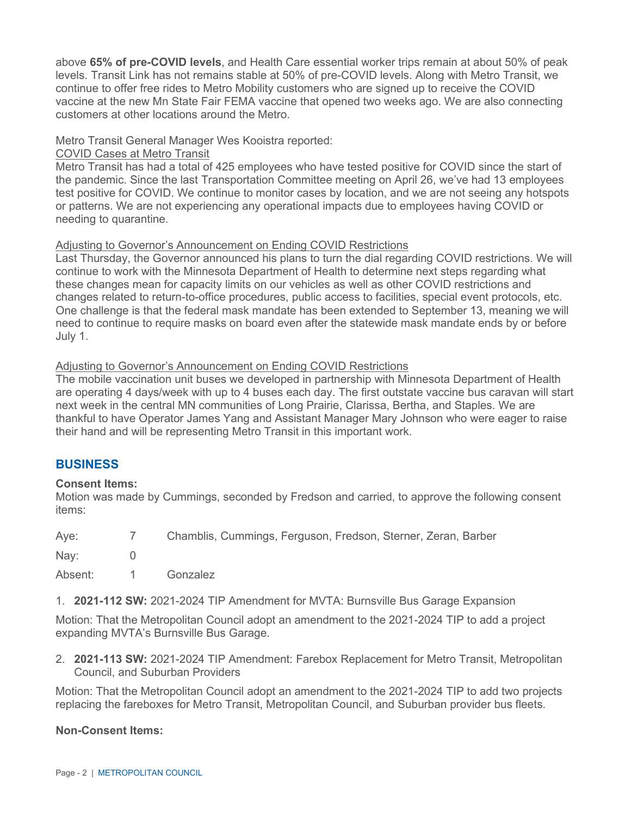above **65% of pre-COVID levels**, and Health Care essential worker trips remain at about 50% of peak levels. Transit Link has not remains stable at 50% of pre-COVID levels. Along with Metro Transit, we continue to offer free rides to Metro Mobility customers who are signed up to receive the COVID vaccine at the new Mn State Fair FEMA vaccine that opened two weeks ago. We are also connecting customers at other locations around the Metro.

#### Metro Transit General Manager Wes Kooistra reported:

#### COVID Cases at Metro Transit

Metro Transit has had a total of 425 employees who have tested positive for COVID since the start of the pandemic. Since the last Transportation Committee meeting on April 26, we've had 13 employees test positive for COVID. We continue to monitor cases by location, and we are not seeing any hotspots or patterns. We are not experiencing any operational impacts due to employees having COVID or needing to quarantine.

#### Adjusting to Governor's Announcement on Ending COVID Restrictions

Last Thursday, the Governor announced his plans to turn the dial regarding COVID restrictions. We will continue to work with the Minnesota Department of Health to determine next steps regarding what these changes mean for capacity limits on our vehicles as well as other COVID restrictions and changes related to return-to-office procedures, public access to facilities, special event protocols, etc. One challenge is that the federal mask mandate has been extended to September 13, meaning we will need to continue to require masks on board even after the statewide mask mandate ends by or before July 1.

#### Adjusting to Governor's Announcement on Ending COVID Restrictions

The mobile vaccination unit buses we developed in partnership with Minnesota Department of Health are operating 4 days/week with up to 4 buses each day. The first outstate vaccine bus caravan will start next week in the central MN communities of Long Prairie, Clarissa, Bertha, and Staples. We are thankful to have Operator James Yang and Assistant Manager Mary Johnson who were eager to raise their hand and will be representing Metro Transit in this important work.

### **BUSINESS**

#### **Consent Items:**

Motion was made by Cummings, seconded by Fredson and carried, to approve the following consent items:

| Aye: |  | Chamblis, Cummings, Ferguson, Fredson, Sterner, Zeran, Barber |  |  |  |
|------|--|---------------------------------------------------------------|--|--|--|
|      |  |                                                               |  |  |  |

Nay: 0

Absent: 1 Gonzalez

1. **2021-112 SW:** 2021-2024 TIP Amendment for MVTA: Burnsville Bus Garage Expansion

Motion: That the Metropolitan Council adopt an amendment to the 2021-2024 TIP to add a project expanding MVTA's Burnsville Bus Garage.

2. **2021-113 SW:** 2021-2024 TIP Amendment: Farebox Replacement for Metro Transit, Metropolitan Council, and Suburban Providers

Motion: That the Metropolitan Council adopt an amendment to the 2021-2024 TIP to add two projects replacing the fareboxes for Metro Transit, Metropolitan Council, and Suburban provider bus fleets.

#### **Non-Consent Items:**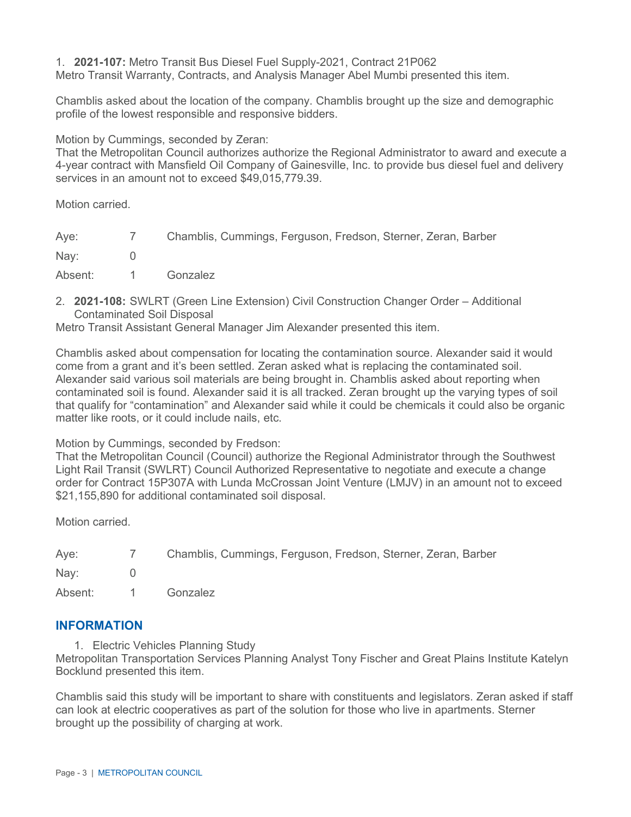1. **2021-107:** Metro Transit Bus Diesel Fuel Supply-2021, Contract 21P062 Metro Transit Warranty, Contracts, and Analysis Manager Abel Mumbi presented this item.

Chamblis asked about the location of the company. Chamblis brought up the size and demographic profile of the lowest responsible and responsive bidders.

Motion by Cummings, seconded by Zeran:

That the Metropolitan Council authorizes authorize the Regional Administrator to award and execute a 4-year contract with Mansfield Oil Company of Gainesville, Inc. to provide bus diesel fuel and delivery services in an amount not to exceed \$49,015,779.39.

Motion carried.

| Aye:    | $\frac{1}{\sqrt{2}}$ | Chamblis, Cummings, Ferguson, Fredson, Sterner, Zeran, Barber |
|---------|----------------------|---------------------------------------------------------------|
| Nay:    |                      |                                                               |
| Absent: | $\sim$ 1             | Gonzalez                                                      |

2. **2021-108:** SWLRT (Green Line Extension) Civil Construction Changer Order – Additional Contaminated Soil Disposal

Metro Transit Assistant General Manager Jim Alexander presented this item.

Chamblis asked about compensation for locating the contamination source. Alexander said it would come from a grant and it's been settled. Zeran asked what is replacing the contaminated soil. Alexander said various soil materials are being brought in. Chamblis asked about reporting when contaminated soil is found. Alexander said it is all tracked. Zeran brought up the varying types of soil that qualify for "contamination" and Alexander said while it could be chemicals it could also be organic matter like roots, or it could include nails, etc.

Motion by Cummings, seconded by Fredson:

That the Metropolitan Council (Council) authorize the Regional Administrator through the Southwest Light Rail Transit (SWLRT) Council Authorized Representative to negotiate and execute a change order for Contract 15P307A with Lunda McCrossan Joint Venture (LMJV) in an amount not to exceed \$21,155,890 for additional contaminated soil disposal.

Motion carried.

| Aye:    | $\sim$ $\sim$ $\sim$ | Chamblis, Cummings, Ferguson, Fredson, Sterner, Zeran, Barber |
|---------|----------------------|---------------------------------------------------------------|
| Nav:    |                      |                                                               |
| Absent: |                      | Gonzalez                                                      |

### **INFORMATION**

1. Electric Vehicles Planning Study

Metropolitan Transportation Services Planning Analyst Tony Fischer and Great Plains Institute Katelyn Bocklund presented this item.

Chamblis said this study will be important to share with constituents and legislators. Zeran asked if staff can look at electric cooperatives as part of the solution for those who live in apartments. Sterner brought up the possibility of charging at work.